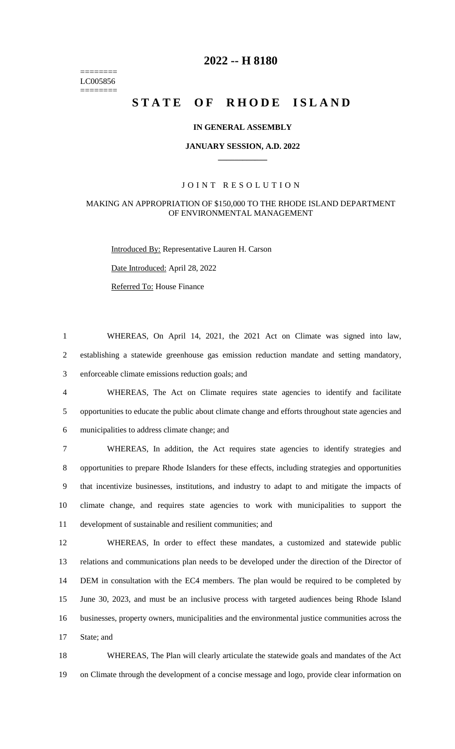======== LC005856 ========

# **-- H 8180**

# STATE OF RHODE ISLAND

### **IN GENERAL ASSEMBLY**

### **JANUARY SESSION, A.D. 2022 \_\_\_\_\_\_\_\_\_\_\_\_**

### JOINT RESOLUTION

### MAKING AN APPROPRIATION OF \$150,000 TO THE RHODE ISLAND DEPARTMENT OF ENVIRONMENTAL MANAGEMENT

Introduced By: Representative Lauren H. Carson

Date Introduced: April 28, 2022

Referred To: House Finance

 WHEREAS, On April 14, 2021, the 2021 Act on Climate was signed into law, establishing a statewide greenhouse gas emission reduction mandate and setting mandatory, enforceable climate emissions reduction goals; and

 WHEREAS, The Act on Climate requires state agencies to identify and facilitate opportunities to educate the public about climate change and efforts throughout state agencies and municipalities to address climate change; and

 WHEREAS, In addition, the Act requires state agencies to identify strategies and opportunities to prepare Rhode Islanders for these effects, including strategies and opportunities that incentivize businesses, institutions, and industry to adapt to and mitigate the impacts of climate change, and requires state agencies to work with municipalities to support the development of sustainable and resilient communities; and

 WHEREAS, In order to effect these mandates, a customized and statewide public relations and communications plan needs to be developed under the direction of the Director of DEM in consultation with the EC4 members. The plan would be required to be completed by June 30, 2023, and must be an inclusive process with targeted audiences being Rhode Island businesses, property owners, municipalities and the environmental justice communities across the State; and

 WHEREAS, The Plan will clearly articulate the statewide goals and mandates of the Act on Climate through the development of a concise message and logo, provide clear information on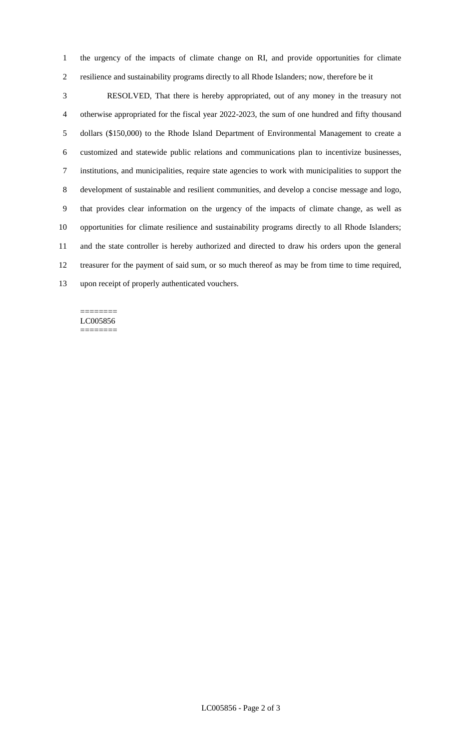the urgency of the impacts of climate change on RI, and provide opportunities for climate resilience and sustainability programs directly to all Rhode Islanders; now, therefore be it

 RESOLVED, That there is hereby appropriated, out of any money in the treasury not otherwise appropriated for the fiscal year 2022-2023, the sum of one hundred and fifty thousand dollars (\$150,000) to the Rhode Island Department of Environmental Management to create a customized and statewide public relations and communications plan to incentivize businesses, institutions, and municipalities, require state agencies to work with municipalities to support the development of sustainable and resilient communities, and develop a concise message and logo, that provides clear information on the urgency of the impacts of climate change, as well as opportunities for climate resilience and sustainability programs directly to all Rhode Islanders; and the state controller is hereby authorized and directed to draw his orders upon the general treasurer for the payment of said sum, or so much thereof as may be from time to time required, upon receipt of properly authenticated vouchers.

#### ======== LC005856 ========

LC005856 - Page 2 of 3